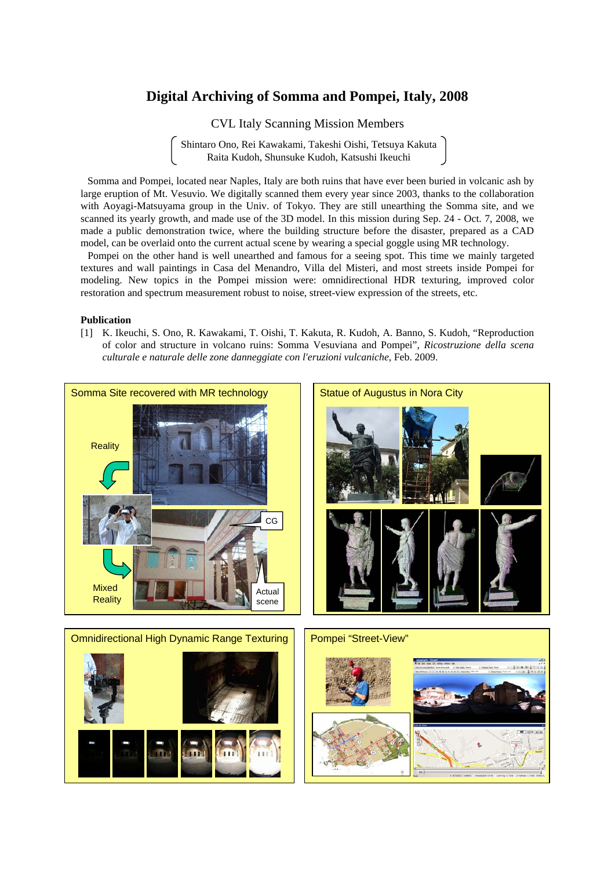## **Digital Archiving of Somma and Pompei, Italy, 2008**

CVL Italy Scanning Mission Members

Shintaro Ono, Rei Kawakami, Takeshi Oishi, Tetsuya Kakuta Raita Kudoh, Shunsuke Kudoh, Katsushi Ikeuchi

Somma and Pompei, located near Naples, Italy are both ruins that have ever been buried in volcanic ash by large eruption of Mt. Vesuvio. We digitally scanned them every year since 2003, thanks to the collaboration with Aoyagi-Matsuyama group in the Univ. of Tokyo. They are still unearthing the Somma site, and we scanned its yearly growth, and made use of the 3D model. In this mission during Sep. 24 - Oct. 7, 2008, we made a public demonstration twice, where the building structure before the disaster, prepared as a CAD model, can be overlaid onto the current actual scene by wearing a special goggle using MR technology.

Pompei on the other hand is well unearthed and famous for a seeing spot. This time we mainly targeted textures and wall paintings in Casa del Menandro, Villa del Misteri, and most streets inside Pompei for modeling. New topics in the Pompei mission were: omnidirectional HDR texturing, improved color restoration and spectrum measurement robust to noise, street-view expression of the streets, etc.

#### **Publication**

[1] K. Ikeuchi, S. Ono, R. Kawakami, T. Oishi, T. Kakuta, R. Kudoh, A. Banno, S. Kudoh, "Reproduction of color and structure in volcano ruins: Somma Vesuviana and Pompei", *Ricostruzione della scena culturale e naturale delle zone danneggiate con l'eruzioni vulcaniche*, Feb. 2009.

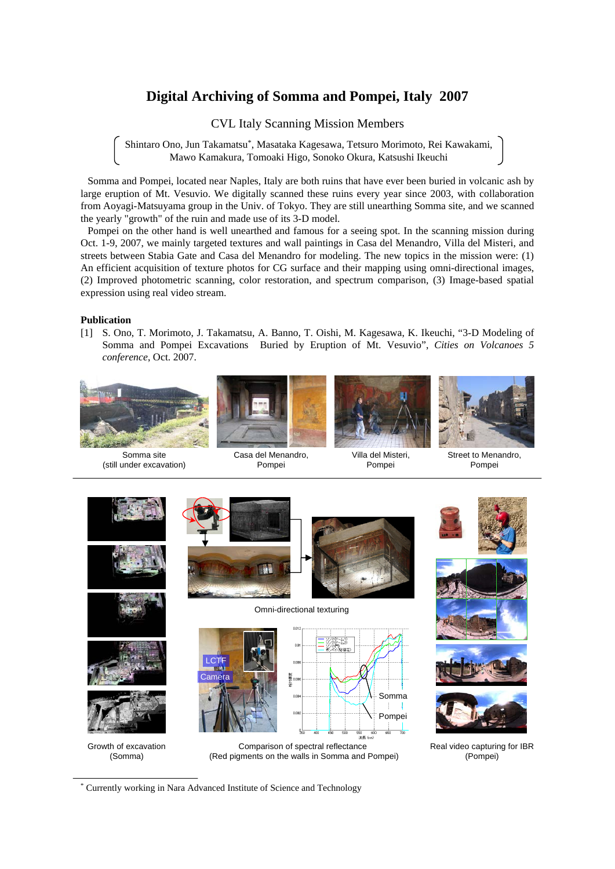# **Digital Archiving of Somma and Pompei, Italy 2007**

CVL Italy Scanning Mission Members

Shintaro Ono, Jun Takamatsu\*, Masataka Kagesawa, Tetsuro Morimoto, Rei Kawakami, Mawo Kamakura, Tomoaki Higo, Sonoko Okura, Katsushi Ikeuchi

Somma and Pompei, located near Naples, Italy are both ruins that have ever been buried in volcanic ash by large eruption of Mt. Vesuvio. We digitally scanned these ruins every year since 2003, with collaboration from Aoyagi-Matsuyama group in the Univ. of Tokyo. They are still unearthing Somma site, and we scanned the yearly "growth" of the ruin and made use of its 3-D model.

Pompei on the other hand is well unearthed and famous for a seeing spot. In the scanning mission during Oct. 1-9, 2007, we mainly targeted textures and wall paintings in Casa del Menandro, Villa del Misteri, and streets between Stabia Gate and Casa del Menandro for modeling. The new topics in the mission were: (1) An efficient acquisition of texture photos for CG surface and their mapping using omni-directional images, (2) Improved photometric scanning, color restoration, and spectrum comparison, (3) Image-based spatial expression using real video stream.

### **Publication**

[1] S. Ono, T. Morimoto, J. Takamatsu, A. Banno, T. Oishi, M. Kagesawa, K. Ikeuchi, "3-D Modeling of Somma and Pompei Excavations Buried by Eruption of Mt. Vesuvio", *Cities on Volcanoes 5 conference*, Oct. 2007.



Somma site (still under excavation)



Pompei





Villa del Misteri, Pompei

Street to Menandro, Pompei



\* Currently working in Nara Advanced Institute of Science and Technology